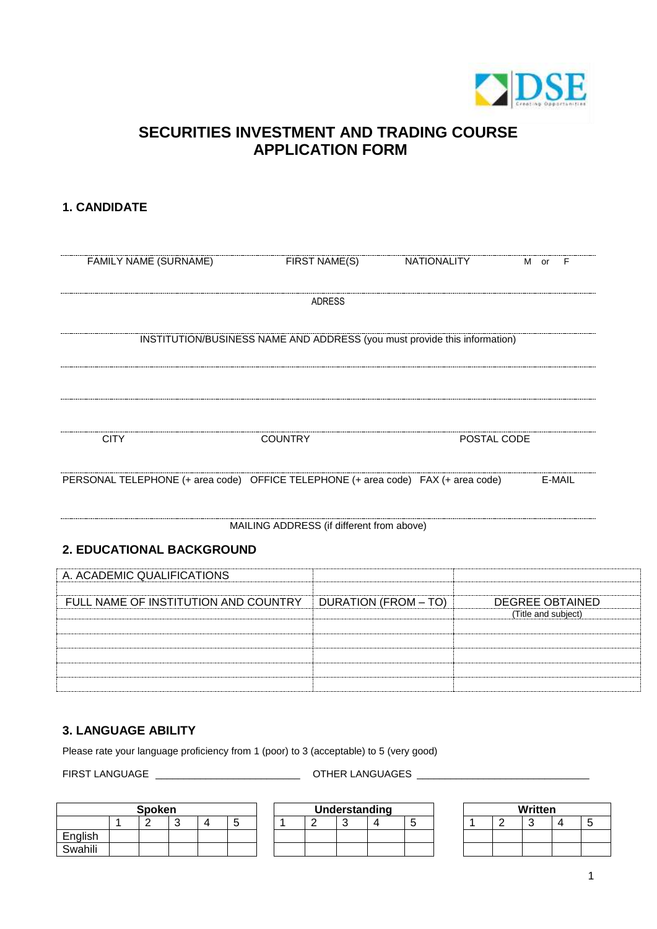

# **SECURITIES INVESTMENT AND TRADING COURSE APPLICATION FORM**

### **1. CANDIDATE**

| FAMILY NAME (SURNAME)                                                             |                                           | FIRST NAME(S) | NATIONALITY                 |             | M or                | F                      |
|-----------------------------------------------------------------------------------|-------------------------------------------|---------------|-----------------------------|-------------|---------------------|------------------------|
|                                                                                   |                                           | ADRESS        |                             |             |                     |                        |
| INSTITUTION/BUSINESS NAME AND ADDRESS (you must provide this information)         |                                           |               |                             |             |                     |                        |
| <b>CITY</b>                                                                       | <b>COUNTRY</b>                            |               |                             | POSTAL CODE |                     |                        |
| PERSONAL TELEPHONE (+ area code) OFFICE TELEPHONE (+ area code) FAX (+ area code) |                                           |               |                             |             |                     | E-MAIL                 |
|                                                                                   | MAILING ADDRESS (if different from above) |               |                             |             |                     |                        |
| 2. EDUCATIONAL BACKGROUND                                                         |                                           |               |                             |             |                     |                        |
| A. ACADEMIC QUALIFICATIONS                                                        |                                           |               |                             |             |                     |                        |
| FULL NAME OF INSTITUTION AND COUNTRY                                              |                                           |               | <b>DURATION (FROM - TO)</b> |             | (Title and subject) | <b>DEGREE OBTAINED</b> |
|                                                                                   |                                           |               |                             |             |                     |                        |
|                                                                                   |                                           |               |                             |             |                     |                        |
|                                                                                   |                                           |               |                             |             |                     |                        |

#### **3. LANGUAGE ABILITY**

Please rate your language proficiency from 1 (poor) to 3 (acceptable) to 5 (very good)

FIRST LANGUAGE \_\_\_\_\_\_\_\_\_\_\_\_\_\_\_\_\_\_\_\_\_\_\_\_\_\_ OTHER LANGUAGES \_\_\_\_\_\_\_\_\_\_\_\_\_\_\_\_\_\_\_\_\_\_\_\_\_\_\_\_\_\_\_

| Spoken  |  |  |  |  |   |  |  |
|---------|--|--|--|--|---|--|--|
|         |  |  |  |  | h |  |  |
| English |  |  |  |  |   |  |  |
| Swahili |  |  |  |  |   |  |  |

| Spoken |  |  |  | Understanding |  |  |  |  | Written |  |  |   |
|--------|--|--|--|---------------|--|--|--|--|---------|--|--|---|
|        |  |  |  |               |  |  |  |  |         |  |  | ັ |
|        |  |  |  |               |  |  |  |  |         |  |  |   |
|        |  |  |  |               |  |  |  |  |         |  |  |   |

|  | <b>Written</b> |   |
|--|----------------|---|
|  |                | 5 |
|  |                |   |
|  |                |   |